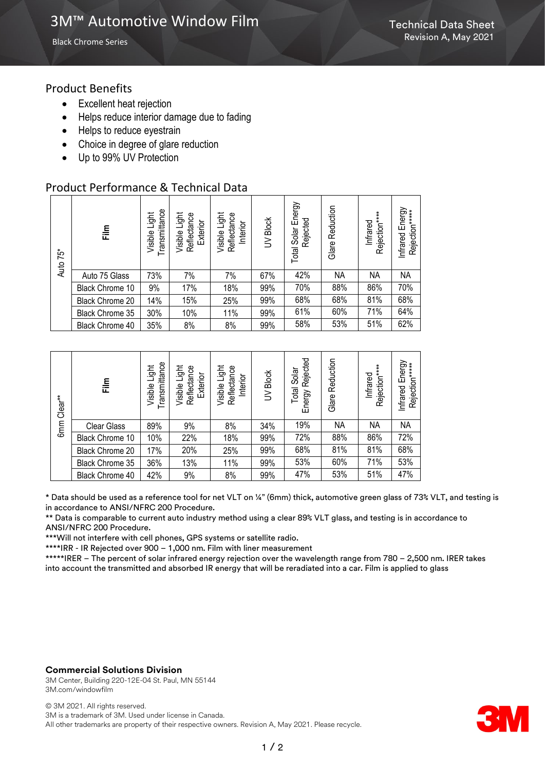Black Chrome Series

## Product Benefits

- Excellent heat rejection
- Helps reduce interior damage due to fading
- Helps to reduce eyestrain
- Choice in degree of glare reduction
- Up to 99% UV Protection

## Product Performance & Technical Data

| 75*<br>Auto | $\frac{\epsilon}{h}$ | Transmittance<br>Light<br>Visible I | Light<br>Reflectance<br>Exterior<br>Visible I | Light<br>Reflectance<br>Interior<br>Visible I | UV Block | Total Solar Energy<br>Rejected | Reduction<br>Glare | Rejection*****<br>Infrared | Infrared Energy<br>Rejection*****<br>Infrared |
|-------------|----------------------|-------------------------------------|-----------------------------------------------|-----------------------------------------------|----------|--------------------------------|--------------------|----------------------------|-----------------------------------------------|
|             | Auto 75 Glass        | 73%                                 | 7%                                            | 7%                                            | 67%      | 42%                            | NА                 | NА                         | <b>NA</b>                                     |
|             | Black Chrome 10      | 9%                                  | 17%                                           | 18%                                           | 99%      | 70%                            | 88%                | 86%                        | 70%                                           |
|             | Black Chrome 20      | 14%                                 | 15%                                           | 25%                                           | 99%      | 68%                            | 68%                | 81%                        | 68%                                           |
|             | Black Chrome 35      | 30%                                 | 10%                                           | 11%                                           | 99%      | 61%                            | 60%                | 71%                        | 64%                                           |
|             | Black Chrome 40      | 35%                                 | 8%                                            | 8%                                            | 99%      | 58%                            | 53%                | 51%                        | 62%                                           |

| Clear <sup>**</sup><br>6 <sub>mm</sub> | $\frac{m}{2}$      | Transmittance<br>Light<br>Visible | Visible Light<br>Reflectance<br>Exterior | Visible Light<br>Reflectance<br>Interior | UV Block | Rejected<br>Solar<br>Total<br>Energy | Reduction<br>Glare | Rejection****<br>Infrared | Energy<br>Rejection*****<br>Infrared |
|----------------------------------------|--------------------|-----------------------------------|------------------------------------------|------------------------------------------|----------|--------------------------------------|--------------------|---------------------------|--------------------------------------|
|                                        | <b>Clear Glass</b> | 89%                               | 9%                                       | 8%                                       | 34%      | 19%                                  | <b>NA</b>          | <b>NA</b>                 | NA                                   |
|                                        | Black Chrome 10    | 10%                               | 22%                                      | 18%                                      | 99%      | 72%                                  | 88%                | 86%                       | 72%                                  |
|                                        | Black Chrome 20    | 17%                               | 20%                                      | 25%                                      | 99%      | 68%                                  | 81%                | 81%                       | 68%                                  |
|                                        | Black Chrome 35    | 36%                               | 13%                                      | 11%                                      | 99%      | 53%                                  | 60%                | 71%                       | 53%                                  |
|                                        | Black Chrome 40    | 42%                               | 9%                                       | 8%                                       | 99%      | 47%                                  | 53%                | 51%                       | 47%                                  |

\* Data should be used as a reference tool for net VLT on ¼" (6mm) thick, automotive green glass of 73% VLT, and testing is in accordance to ANSI/NFRC 200 Procedure.

\*\* Data is comparable to current auto industry method using a clear 89% VLT glass, and testing is in accordance to ANSI/NFRC 200 Procedure.

\*\*\*Will not interfere with cell phones, GPS systems or satellite radio.

\*\*\*\*IRR - IR Rejected over 900 – 1,000 nm. Film with liner measurement

\*\*\*\*\*IRER – The percent of solar infrared energy rejection over the wavelength range from 780 – 2,500 nm. IRER takes into account the transmitted and absorbed IR energy that will be reradiated into a car. Film is applied to glass

#### **Commercial Solutions Division**

3M Center, Building 220-12E-04 St. Paul, MN 55144 3M.com/windowfilm

© 3M 2021. All rights reserved. 3M is a trademark of 3M. Used under license in Canada. All other trademarks are property of their respective owners. Revision A, May 2021. Please recycle.